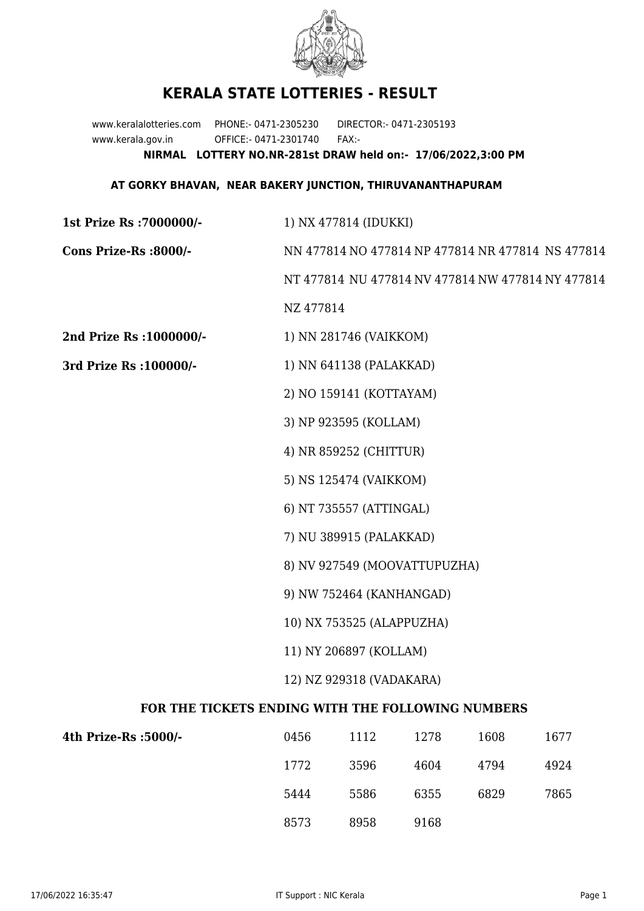

## **KERALA STATE LOTTERIES - RESULT**

www.keralalotteries.com PHONE:- 0471-2305230 DIRECTOR:- 0471-2305193 www.kerala.gov.in OFFICE:- 0471-2301740 FAX:- **NIRMAL LOTTERY NO.NR-281st DRAW held on:- 17/06/2022,3:00 PM**

## **AT GORKY BHAVAN, NEAR BAKERY JUNCTION, THIRUVANANTHAPURAM**

| 1st Prize Rs : 7000000/-                          | 1) NX 477814 (IDUKKI)                             |      |      |      |      |
|---------------------------------------------------|---------------------------------------------------|------|------|------|------|
| Cons Prize-Rs :8000/-                             | NN 477814 NO 477814 NP 477814 NR 477814 NS 477814 |      |      |      |      |
|                                                   | NT 477814 NU 477814 NV 477814 NW 477814 NY 477814 |      |      |      |      |
|                                                   | NZ 477814                                         |      |      |      |      |
| 2nd Prize Rs : 1000000/-                          | 1) NN 281746 (VAIKKOM)                            |      |      |      |      |
| 3rd Prize Rs : 100000/-                           | 1) NN 641138 (PALAKKAD)                           |      |      |      |      |
|                                                   | 2) NO 159141 (KOTTAYAM)                           |      |      |      |      |
|                                                   | 3) NP 923595 (KOLLAM)<br>4) NR 859252 (CHITTUR)   |      |      |      |      |
|                                                   |                                                   |      |      |      |      |
|                                                   | 5) NS 125474 (VAIKKOM)                            |      |      |      |      |
|                                                   | 6) NT 735557 (ATTINGAL)                           |      |      |      |      |
|                                                   | 7) NU 389915 (PALAKKAD)                           |      |      |      |      |
|                                                   | 8) NV 927549 (MOOVATTUPUZHA)                      |      |      |      |      |
|                                                   | 9) NW 752464 (KANHANGAD)                          |      |      |      |      |
|                                                   | 10) NX 753525 (ALAPPUZHA)                         |      |      |      |      |
|                                                   | 11) NY 206897 (KOLLAM)                            |      |      |      |      |
|                                                   | 12) NZ 929318 (VADAKARA)                          |      |      |      |      |
| FOR THE TICKETS ENDING WITH THE FOLLOWING NUMBERS |                                                   |      |      |      |      |
| 4th Prize-Rs :5000/-                              | 0456                                              | 1112 | 1278 | 1608 | 1677 |
|                                                   | 1772                                              | 3596 | 4604 | 4794 | 4924 |
|                                                   | 5444                                              | 5586 | 6355 | 6829 | 7865 |

8573 8958 9168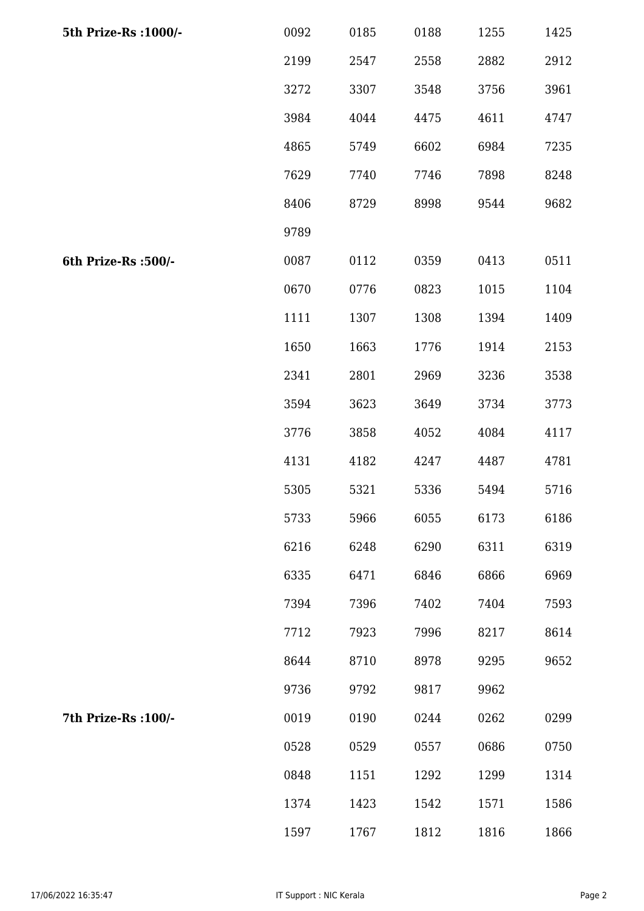| 5th Prize-Rs : 1000/- | 0092 | 0185 | 0188 | 1255 | 1425 |
|-----------------------|------|------|------|------|------|
|                       | 2199 | 2547 | 2558 | 2882 | 2912 |
|                       | 3272 | 3307 | 3548 | 3756 | 3961 |
|                       | 3984 | 4044 | 4475 | 4611 | 4747 |
|                       | 4865 | 5749 | 6602 | 6984 | 7235 |
|                       | 7629 | 7740 | 7746 | 7898 | 8248 |
|                       | 8406 | 8729 | 8998 | 9544 | 9682 |
|                       | 9789 |      |      |      |      |
| 6th Prize-Rs :500/-   | 0087 | 0112 | 0359 | 0413 | 0511 |
|                       | 0670 | 0776 | 0823 | 1015 | 1104 |
|                       | 1111 | 1307 | 1308 | 1394 | 1409 |
|                       | 1650 | 1663 | 1776 | 1914 | 2153 |
|                       | 2341 | 2801 | 2969 | 3236 | 3538 |
|                       | 3594 | 3623 | 3649 | 3734 | 3773 |
|                       | 3776 | 3858 | 4052 | 4084 | 4117 |
|                       | 4131 | 4182 | 4247 | 4487 | 4781 |
|                       | 5305 | 5321 | 5336 | 5494 | 5716 |
|                       | 5733 | 5966 | 6055 | 6173 | 6186 |
|                       | 6216 | 6248 | 6290 | 6311 | 6319 |
|                       | 6335 | 6471 | 6846 | 6866 | 6969 |
|                       | 7394 | 7396 | 7402 | 7404 | 7593 |
|                       | 7712 | 7923 | 7996 | 8217 | 8614 |
|                       | 8644 | 8710 | 8978 | 9295 | 9652 |
|                       | 9736 | 9792 | 9817 | 9962 |      |
| 7th Prize-Rs : 100/-  | 0019 | 0190 | 0244 | 0262 | 0299 |
|                       | 0528 | 0529 | 0557 | 0686 | 0750 |
|                       | 0848 | 1151 | 1292 | 1299 | 1314 |
|                       | 1374 | 1423 | 1542 | 1571 | 1586 |
|                       | 1597 | 1767 | 1812 | 1816 | 1866 |